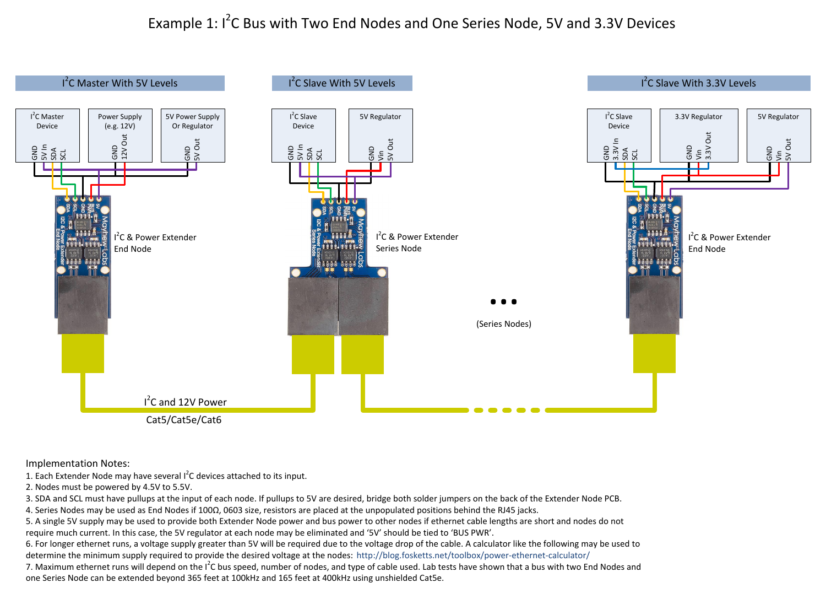## Example 1: I<sup>2</sup>C Bus with Two End Nodes and One Series Node, 5V and 3.3V Devices



Implementation Notes:

1. Each Extender Node may have several I<sup>2</sup>C devices attached to its input.

2. Nodes must be powered by 4.5V to 5.5V.

3. SDA and SCL must have pullups at the input of each node. If pullups to 5V are desired, bridge both solder jumpers on the back of the Extender Node PCB.

4. Series Nodes may be used as End Nodes if 100Ω, 0603 size, resistors are placed at the unpopulated positions behind the RJ45 jacks.

5. A single 5V supply may be used to provide both Extender Node power and bus power to other nodes if ethernet cable lengths are short and nodes do not require much current. In this case, the 5V regulator at each node may be eliminated and '5V' should be tied to 'BUS PWR'.

determine the minimum supply required to provide the desired voltage at the nodes: <http://blog.fosketts.net/toolbox/power-ethernet-calculator/> 6. For longer ethernet runs, a voltage supply greater than 5V will be required due to the voltage drop of the cable. A calculator like the following may be used to

7. Maximum ethernet runs will depend on the I<sup>2</sup>C bus speed, number of nodes, and type of cable used. Lab tests have shown that a bus with two End Nodes and one Series Node can be extended beyond 365 feet at 100kHz and 165 feet at 400kHz using unshielded Cat5e.